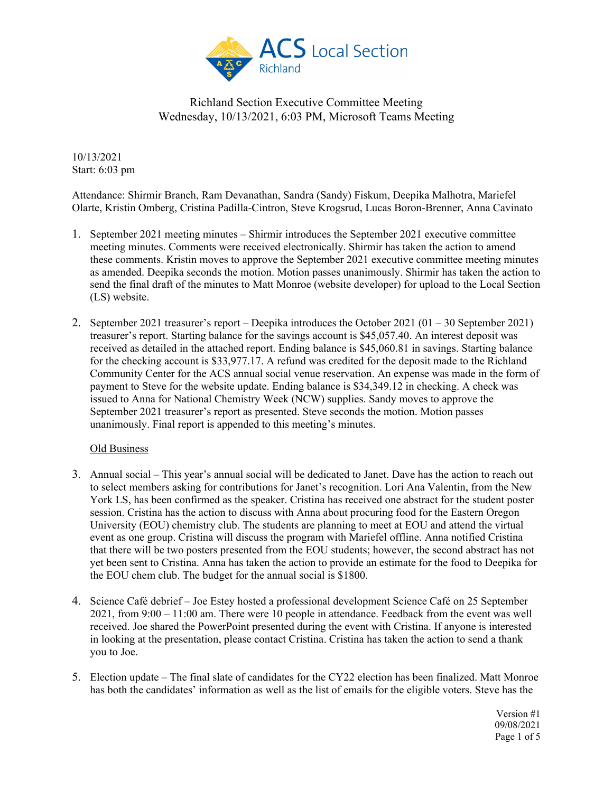

10/13/2021 Start: 6:03 pm

Attendance: Shirmir Branch, Ram Devanathan, Sandra (Sandy) Fiskum, Deepika Malhotra, Mariefel Olarte, Kristin Omberg, Cristina Padilla-Cintron, Steve Krogsrud, Lucas Boron-Brenner, Anna Cavinato

- 1. September 2021 meeting minutes Shirmir introduces the September 2021 executive committee meeting minutes. Comments were received electronically. Shirmir has taken the action to amend these comments. Kristin moves to approve the September 2021 executive committee meeting minutes as amended. Deepika seconds the motion. Motion passes unanimously. Shirmir has taken the action to send the final draft of the minutes to Matt Monroe (website developer) for upload to the Local Section (LS) website.
- 2. September 2021 treasurer's report Deepika introduces the October 2021  $(01 30$  September 2021) treasurer's report. Starting balance for the savings account is \$45,057.40. An interest deposit was received as detailed in the attached report. Ending balance is \$45,060.81 in savings. Starting balance for the checking account is \$33,977.17. A refund was credited for the deposit made to the Richland Community Center for the ACS annual social venue reservation. An expense was made in the form of payment to Steve for the website update. Ending balance is \$34,349.12 in checking. A check was issued to Anna for National Chemistry Week (NCW) supplies. Sandy moves to approve the September 2021 treasurer's report as presented. Steve seconds the motion. Motion passes unanimously. Final report is appended to this meeting's minutes.

#### Old Business

- 3. Annual social This year's annual social will be dedicated to Janet. Dave has the action to reach out to select members asking for contributions for Janet's recognition. Lori Ana Valentin, from the New York LS, has been confirmed as the speaker. Cristina has received one abstract for the student poster session. Cristina has the action to discuss with Anna about procuring food for the Eastern Oregon University (EOU) chemistry club. The students are planning to meet at EOU and attend the virtual event as one group. Cristina will discuss the program with Mariefel offline. Anna notified Cristina that there will be two posters presented from the EOU students; however, the second abstract has not yet been sent to Cristina. Anna has taken the action to provide an estimate for the food to Deepika for the EOU chem club. The budget for the annual social is \$1800.
- 4. Science Café debrief Joe Estey hosted a professional development Science Café on 25 September 2021, from 9:00 – 11:00 am. There were 10 people in attendance. Feedback from the event was well received. Joe shared the PowerPoint presented during the event with Cristina. If anyone is interested in looking at the presentation, please contact Cristina. Cristina has taken the action to send a thank you to Joe.
- 5. Election update The final slate of candidates for the CY22 election has been finalized. Matt Monroe has both the candidates' information as well as the list of emails for the eligible voters. Steve has the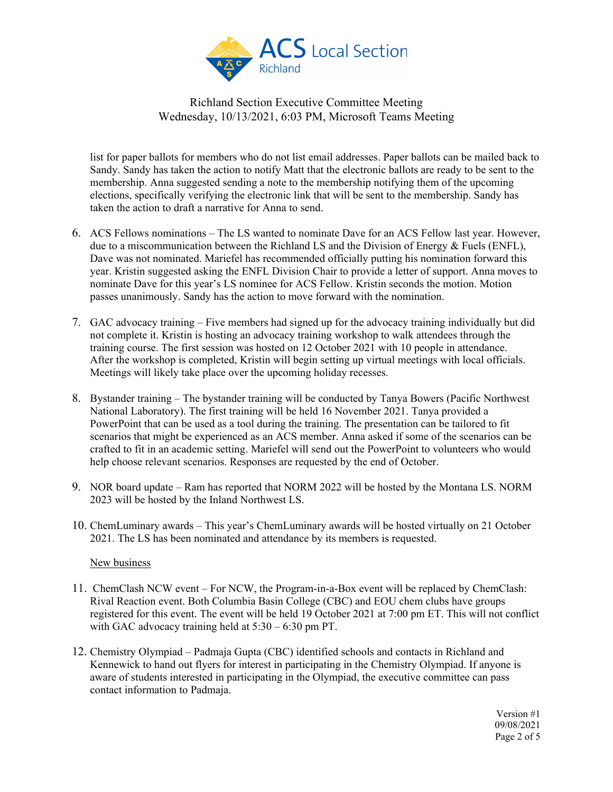

list for paper ballots for members who do not list email addresses. Paper ballots can be mailed back to Sandy. Sandy has taken the action to notify Matt that the electronic ballots are ready to be sent to the membership. Anna suggested sending a note to the membership notifying them of the upcoming elections, specifically verifying the electronic link that will be sent to the membership. Sandy has taken the action to draft a narrative for Anna to send.

- 6. ACS Fellows nominations The LS wanted to nominate Dave for an ACS Fellow last year. However, due to a miscommunication between the Richland LS and the Division of Energy & Fuels (ENFL), Dave was not nominated. Mariefel has recommended officially putting his nomination forward this year. Kristin suggested asking the ENFL Division Chair to provide a letter of support. Anna moves to nominate Dave for this year's LS nominee for ACS Fellow. Kristin seconds the motion. Motion passes unanimously. Sandy has the action to move forward with the nomination.
- 7. GAC advocacy training Five members had signed up for the advocacy training individually but did not complete it. Kristin is hosting an advocacy training workshop to walk attendees through the training course. The first session was hosted on 12 October 2021 with 10 people in attendance. After the workshop is completed, Kristin will begin setting up virtual meetings with local officials. Meetings will likely take place over the upcoming holiday recesses.
- 8. Bystander training The bystander training will be conducted by Tanya Bowers (Pacific Northwest National Laboratory). The first training will be held 16 November 2021. Tanya provided a PowerPoint that can be used as a tool during the training. The presentation can be tailored to fit scenarios that might be experienced as an ACS member. Anna asked if some of the scenarios can be crafted to fit in an academic setting. Mariefel will send out the PowerPoint to volunteers who would help choose relevant scenarios. Responses are requested by the end of October.
- 9. NOR board update Ram has reported that NORM 2022 will be hosted by the Montana LS. NORM 2023 will be hosted by the Inland Northwest LS.
- 10. ChemLuminary awards This year's ChemLuminary awards will be hosted virtually on 21 October 2021. The LS has been nominated and attendance by its members is requested.

#### New business

- 11. ChemClash NCW event For NCW, the Program-in-a-Box event will be replaced by ChemClash: Rival Reaction event. Both Columbia Basin College (CBC) and EOU chem clubs have groups registered for this event. The event will be held 19 October 2021 at 7:00 pm ET. This will not conflict with GAC advocacy training held at  $5:30 - 6:30$  pm PT.
- 12. Chemistry Olympiad Padmaja Gupta (CBC) identified schools and contacts in Richland and Kennewick to hand out flyers for interest in participating in the Chemistry Olympiad. If anyone is aware of students interested in participating in the Olympiad, the executive committee can pass contact information to Padmaja.

Version #1 09/08/2021 Page 2 of 5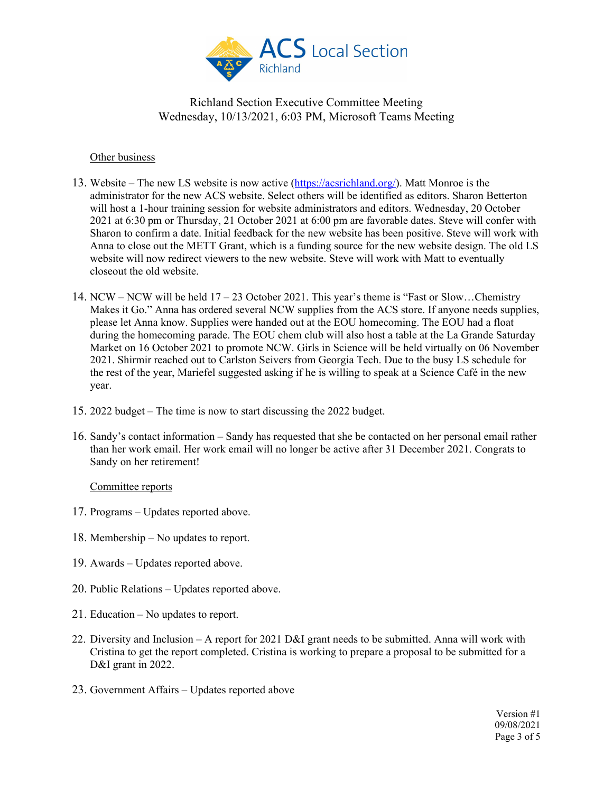

### Other business

- 13. Website The new LS website is now active [\(https://acsrichland.org/\)](https://acsrichland.org/). Matt Monroe is the administrator for the new ACS website. Select others will be identified as editors. Sharon Betterton will host a 1-hour training session for website administrators and editors. Wednesday, 20 October 2021 at 6:30 pm or Thursday, 21 October 2021 at 6:00 pm are favorable dates. Steve will confer with Sharon to confirm a date. Initial feedback for the new website has been positive. Steve will work with Anna to close out the METT Grant, which is a funding source for the new website design. The old LS website will now redirect viewers to the new website. Steve will work with Matt to eventually closeout the old website.
- 14. NCW NCW will be held 17 23 October 2021. This year's theme is "Fast or Slow…Chemistry Makes it Go." Anna has ordered several NCW supplies from the ACS store. If anyone needs supplies, please let Anna know. Supplies were handed out at the EOU homecoming. The EOU had a float during the homecoming parade. The EOU chem club will also host a table at the La Grande Saturday Market on 16 October 2021 to promote NCW. Girls in Science will be held virtually on 06 November 2021. Shirmir reached out to Carlston Seivers from Georgia Tech. Due to the busy LS schedule for the rest of the year, Mariefel suggested asking if he is willing to speak at a Science Café in the new year.
- 15. 2022 budget The time is now to start discussing the 2022 budget.
- 16. Sandy's contact information Sandy has requested that she be contacted on her personal email rather than her work email. Her work email will no longer be active after 31 December 2021. Congrats to Sandy on her retirement!

#### Committee reports

- 17. Programs Updates reported above.
- 18. Membership No updates to report.
- 19. Awards Updates reported above.
- 20. Public Relations Updates reported above.
- 21. Education No updates to report.
- 22. Diversity and Inclusion A report for 2021 D&I grant needs to be submitted. Anna will work with Cristina to get the report completed. Cristina is working to prepare a proposal to be submitted for a D&I grant in 2022.
- 23. Government Affairs Updates reported above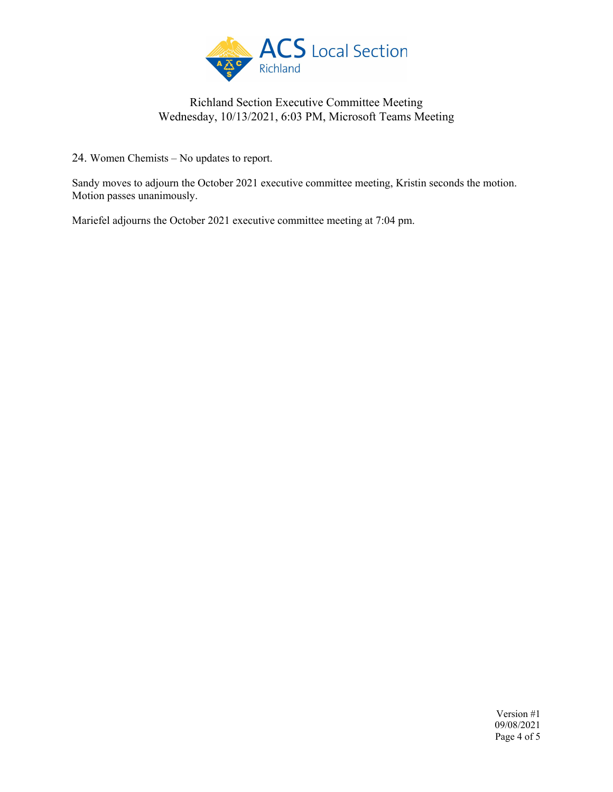

24. Women Chemists – No updates to report.

Sandy moves to adjourn the October 2021 executive committee meeting, Kristin seconds the motion. Motion passes unanimously.

Mariefel adjourns the October 2021 executive committee meeting at 7:04 pm.